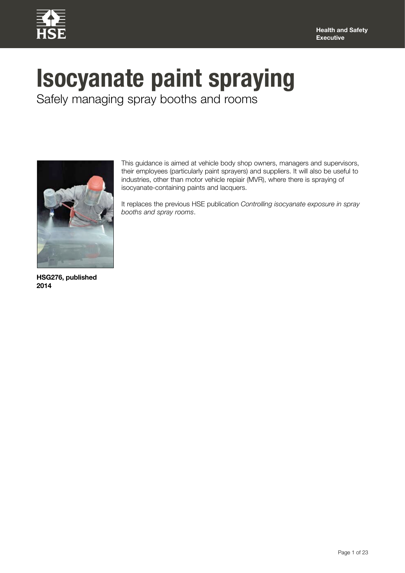

# **Isocyanate paint spraying**

Safely managing spray booths and rooms



This guidance is aimed at vehicle body shop owners, managers and supervisors, their employees (particularly paint sprayers) and suppliers. It will also be useful to industries, other than motor vehicle repiair (MVR), where there is spraying of isocyanate-containing paints and lacquers.

It replaces the previous HSE publication *Controlling isocyanate exposure in spray booths and spray rooms*.

**HSG276, published 2014**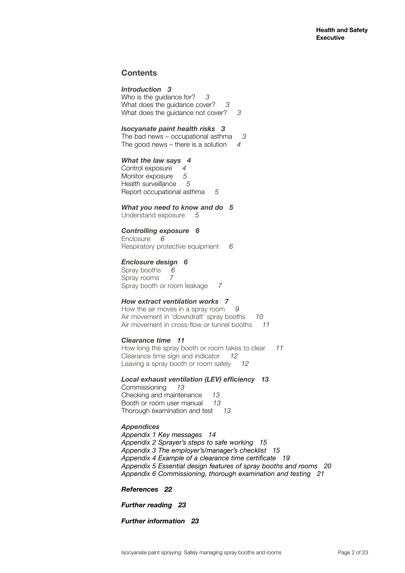# **Contents**

*Introduction 3* Who is the guidance for? *3* What does the guidance cover? *3* What does the guidance not cover? *3*

## *Isocyanate paint health risks 3*

The bad news – occupational asthma *3* The good news – there is a solution *4*

#### *What the law says 4*

Control exposure *4* Monitor exposure *5* Health surveillance *5* Report occupational asthma *5*

## *What you need to know and do 5*

Understand exposure *5*

## *Controlling exposure 6*

Enclosure *6* Respiratory protective equipment *6*

## *Enclosure design 6*

Spray booths 6<br>Spray rooms 7 Spray rooms *7* Spray booth or room leakage *7*

## *How extract ventilation works 7*

How the air moves in a spray room *9* Air movement in 'downdraft' spray booths *10* Air movement in cross-flow or tunnel booths *11*

## *Clearance time 11*

How long the spray booth or room takes to clear *11* Clearance time sign and indicator *12* Leaving a spray booth or room safely *12*

## *Local exhaust ventilation (LEV) efficiency 13*

Commissioning *13* Checking and maintenance *13* Booth or room user manual *13* Thorough examination and test *13*

## *Appendices*

*Appendix 1 Key messages 14 Appendix 2 Sprayer's steps to safe working 15 Appendix 3 The employer's/manager's checklist 15 Appendix 4 Example of a clearance time certificate 19 Appendix 5 Essential design features of spray booths and rooms 20 Appendix 6 Commissioning, thorough examination and testing 21* 

*References 22*

*Further reading 23* 

*Further information 23*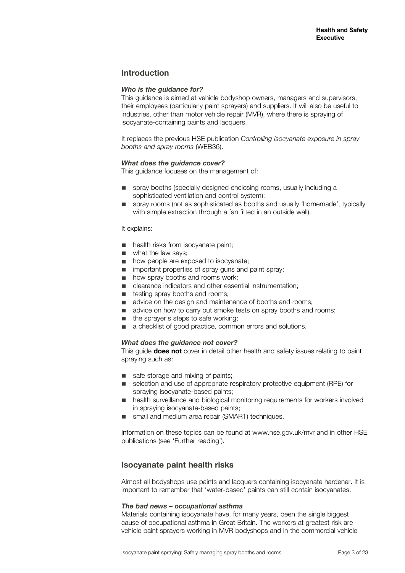# **Introduction**

## *Who is the guidance for?*

This guidance is aimed at vehicle bodyshop owners, managers and supervisors, their employees (particularly paint sprayers) and suppliers. It will also be useful to industries, other than motor vehicle repair (MVR), where there is spraying of isocyanate-containing paints and lacquers.

It replaces the previous HSE publication *Controlling isocyanate exposure in spray booths and spray rooms* (WEB36).

## *What does the guidance cover?*

This guidance focuses on the management of:

- spray booths (specially designed enclosing rooms, usually including a sophisticated ventilation and control system);
- spray rooms (not as sophisticated as booths and usually 'homemade', typically with simple extraction through a fan fitted in an outside wall).

#### It explains:

- health risks from isocvanate paint:
- what the law says;
- how people are exposed to isocyanate;
- important properties of spray guns and paint spray;
- how spray booths and rooms work;
- clearance indicators and other essential instrumentation;
- testing spray booths and rooms;
- advice on the design and maintenance of booths and rooms;
- advice on how to carry out smoke tests on spray booths and rooms;
- the sprayer's steps to safe working;
- a checklist of good practice, common errors and solutions.

## *What does the guidance not cover?*

This guide **does not** cover in detail other health and safety issues relating to paint spraying such as:

- safe storage and mixing of paints;
- selection and use of appropriate respiratory protective equipment (RPE) for spraying isocyanate-based paints;
- health surveillance and biological monitoring requirements for workers involved in spraying isocyanate-based paints;
- small and medium area repair (SMART) techniques.

Information on these topics can be found at www.hse.gov.uk/mvr and in other HSE publications (see 'Further reading').

# **Isocyanate paint health risks**

Almost all bodyshops use paints and lacquers containing isocyanate hardener. It is important to remember that 'water-based' paints can still contain isocyanates.

## *The bad news – occupational asthma*

Materials containing isocyanate have, for many years, been the single biggest cause of occupational asthma in Great Britain. The workers at greatest risk are vehicle paint sprayers working in MVR bodyshops and in the commercial vehicle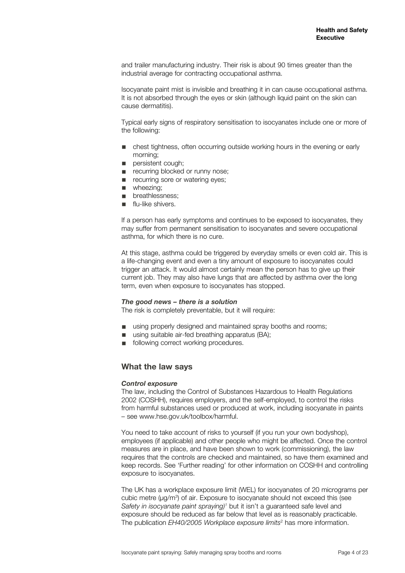and trailer manufacturing industry. Their risk is about 90 times greater than the industrial average for contracting occupational asthma.

Isocyanate paint mist is invisible and breathing it in can cause occupational asthma. It is not absorbed through the eyes or skin (although liquid paint on the skin can cause dermatitis).

Typical early signs of respiratory sensitisation to isocyanates include one or more of the following:

- chest tightness, often occurring outside working hours in the evening or early morning;
- persistent cough:
- recurring blocked or runny nose:
- recurring sore or watering eyes;
- wheezing:
- breathlessness:
- flu-like shivers.

If a person has early symptoms and continues to be exposed to isocyanates, they may suffer from permanent sensitisation to isocyanates and severe occupational asthma, for which there is no cure.

At this stage, asthma could be triggered by everyday smells or even cold air. This is a life-changing event and even a tiny amount of exposure to isocyanates could trigger an attack. It would almost certainly mean the person has to give up their current job. They may also have lungs that are affected by asthma over the long term, even when exposure to isocyanates has stopped.

#### *The good news – there is a solution*

The risk is completely preventable, but it will require:

- using properly designed and maintained spray booths and rooms;
- using suitable air-fed breathing apparatus (BA);
- following correct working procedures.

## **What the law says**

#### *Control exposure*

The law, including the Control of Substances Hazardous to Health Regulations 2002 (COSHH), requires employers, and the self-employed, to control the risks from harmful substances used or produced at work, including isocyanate in paints – see www.hse.gov.uk/toolbox/harmful.

You need to take account of risks to yourself (if you run your own bodyshop), employees (if applicable) and other people who might be affected. Once the control measures are in place, and have been shown to work (commissioning), the law requires that the controls are checked and maintained, so have them examined and keep records. See 'Further reading' for other information on COSHH and controlling exposure to isocyanates.

The UK has a workplace exposure limit (WEL) for isocyanates of 20 micrograms per cubic metre (μg/m<sup>3</sup>) of air. Exposure to isocyanate should not exceed this (see Safety in isocyanate paint spraying)<sup>1</sup> but it isn't a guaranteed safe level and exposure should be reduced as far below that level as is reasonably practicable. The publication *EH40/2005 Workplace exposure limits*<sup>2</sup> has more information.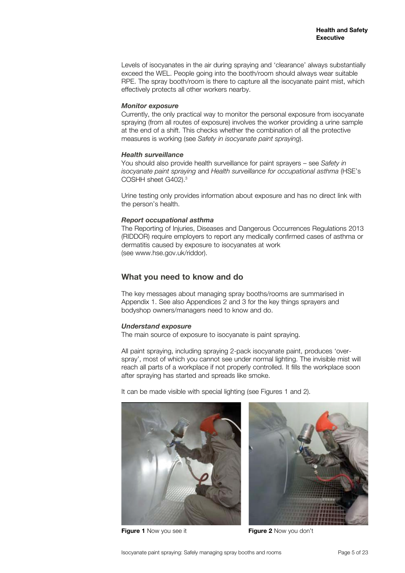Levels of isocyanates in the air during spraying and 'clearance' always substantially exceed the WEL. People going into the booth/room should always wear suitable RPE. The spray booth/room is there to capture all the isocyanate paint mist, which effectively protects all other workers nearby.

#### *Monitor exposure*

Currently, the only practical way to monitor the personal exposure from isocyanate spraying (from all routes of exposure) involves the worker providing a urine sample at the end of a shift. This checks whether the combination of all the protective measures is working (see *Safety in isocyanate paint spraying*).

#### *Health surveillance*

You should also provide health surveillance for paint sprayers – see *Safety in isocyanate paint spraying* and *Health surveillance for occupational asthma* (HSE's COSHH sheet G402).3

Urine testing only provides information about exposure and has no direct link with the person's health.

## *Report occupational asthma*

The Reporting of Injuries, Diseases and Dangerous Occurrences Regulations 2013 (RIDDOR) require employers to report any medically confirmed cases of asthma or dermatitis caused by exposure to isocyanates at work (see www.hse.gov.uk/riddor).

# **What you need to know and do**

The key messages about managing spray booths/rooms are summarised in Appendix 1. See also Appendices 2 and 3 for the key things sprayers and bodyshop owners/managers need to know and do.

## *Understand exposure*

The main source of exposure to isocyanate is paint spraying.

All paint spraying, including spraying 2-pack isocyanate paint, produces 'overspray', most of which you cannot see under normal lighting. The invisible mist will reach all parts of a workplace if not properly controlled. It fills the workplace soon after spraying has started and spreads like smoke.

It can be made visible with special lighting (see Figures 1 and 2).





**Figure 1** Now you see it **Figure 2** Now you don't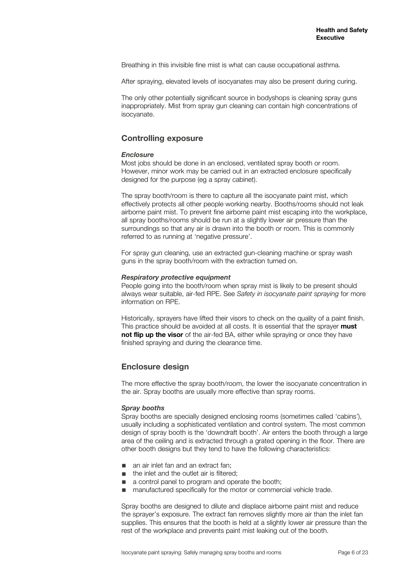Breathing in this invisible fine mist is what can cause occupational asthma.

After spraying, elevated levels of isocyanates may also be present during curing.

The only other potentially significant source in bodyshops is cleaning spray guns inappropriately. Mist from spray gun cleaning can contain high concentrations of isocyanate.

# **Controlling exposure**

#### *Enclosure*

Most jobs should be done in an enclosed, ventilated spray booth or room. However, minor work may be carried out in an extracted enclosure specifically designed for the purpose (eg a spray cabinet).

The spray booth/room is there to capture all the isocyanate paint mist, which effectively protects all other people working nearby. Booths/rooms should not leak airborne paint mist. To prevent fine airborne paint mist escaping into the workplace, all spray booths/rooms should be run at a slightly lower air pressure than the surroundings so that any air is drawn into the booth or room. This is commonly referred to as running at 'negative pressure'.

For spray gun cleaning, use an extracted gun-cleaning machine or spray wash guns in the spray booth/room with the extraction turned on.

#### *Respiratory protective equipment*

People going into the booth/room when spray mist is likely to be present should always wear suitable, air-fed RPE. See *Safety in isocyanate paint spraying* for more information on RPE.

Historically, sprayers have lifted their visors to check on the quality of a paint finish. This practice should be avoided at all costs. It is essential that the sprayer **must not flip up the visor** of the air-fed BA, either while spraying or once they have finished spraying and during the clearance time.

## **Enclosure design**

The more effective the spray booth/room, the lower the isocyanate concentration in the air. Spray booths are usually more effective than spray rooms.

## *Spray booths*

Spray booths are specially designed enclosing rooms (sometimes called 'cabins'), usually including a sophisticated ventilation and control system. The most common design of spray booth is the 'downdraft booth'. Air enters the booth through a large area of the ceiling and is extracted through a grated opening in the floor. There are other booth designs but they tend to have the following characteristics:

- an air inlet fan and an extract fan;
- the inlet and the outlet air is filtered:
- a control panel to program and operate the booth;
- manufactured specifically for the motor or commercial vehicle trade.

Spray booths are designed to dilute and displace airborne paint mist and reduce the sprayer's exposure. The extract fan removes slightly more air than the inlet fan supplies. This ensures that the booth is held at a slightly lower air pressure than the rest of the workplace and prevents paint mist leaking out of the booth.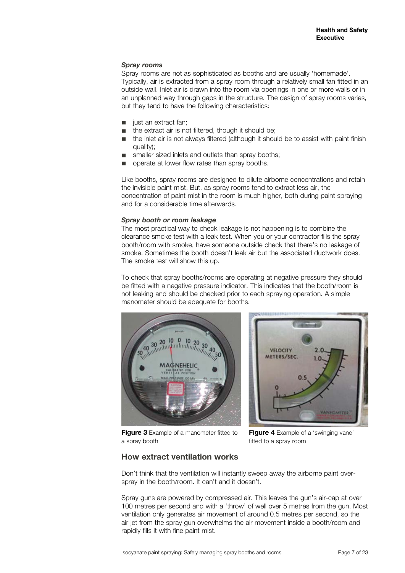#### *Spray rooms*

Spray rooms are not as sophisticated as booths and are usually 'homemade'. Typically, air is extracted from a spray room through a relatively small fan fitted in an outside wall. Inlet air is drawn into the room via openings in one or more walls or in an unplanned way through gaps in the structure. The design of spray rooms varies, but they tend to have the following characteristics:

- just an extract fan:
- the extract air is not filtered, though it should be;
- the inlet air is not always filtered (although it should be to assist with paint finish  $\alpha$ uality);
- smaller sized inlets and outlets than spray booths;
- operate at lower flow rates than spray booths.

Like booths, spray rooms are designed to dilute airborne concentrations and retain the invisible paint mist. But, as spray rooms tend to extract less air, the concentration of paint mist in the room is much higher, both during paint spraying and for a considerable time afterwards.

#### *Spray booth or room leakage*

The most practical way to check leakage is not happening is to combine the clearance smoke test with a leak test. When you or your contractor fills the spray booth/room with smoke, have someone outside check that there's no leakage of smoke. Sometimes the booth doesn't leak air but the associated ductwork does. The smoke test will show this up.

To check that spray booths/rooms are operating at negative pressure they should be fitted with a negative pressure indicator. This indicates that the booth/room is not leaking and should be checked prior to each spraying operation. A simple manometer should be adequate for booths.





**Figure 3** Example of a manometer fitted to a spray booth

**Figure 4** Example of a 'swinging vane' fitted to a spray room

## **How extract ventilation works**

Don't think that the ventilation will instantly sweep away the airborne paint overspray in the booth/room. It can't and it doesn't.

Spray guns are powered by compressed air. This leaves the gun's air-cap at over 100 metres per second and with a 'throw' of well over 5 metres from the gun. Most ventilation only generates air movement of around 0.5 metres per second, so the air jet from the spray gun overwhelms the air movement inside a booth/room and rapidly fills it with fine paint mist.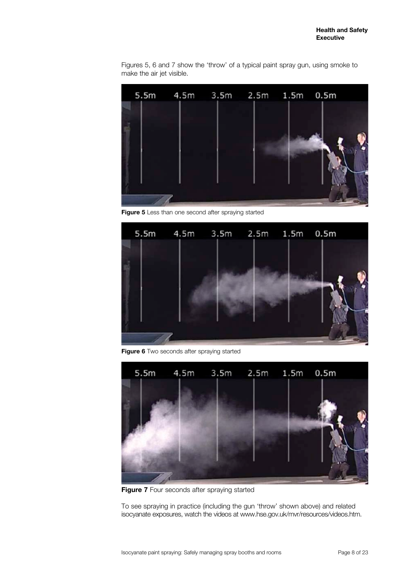Figures 5, 6 and 7 show the 'throw' of a typical paint spray gun, using smoke to make the air jet visible.



**Figure 5** Less than one second after spraying started



**Figure 6** Two seconds after spraying started



**Figure 7** Four seconds after spraying started

To see spraying in practice (including the gun 'throw' shown above) and related isocyanate exposures, watch the videos at www.hse.gov.uk/mvr/resources/videos.htm.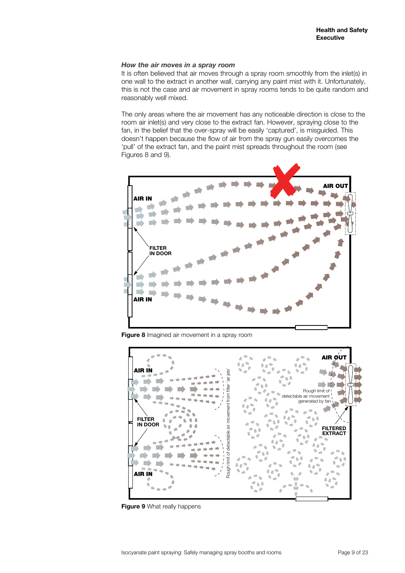#### *How the air moves in a spray room*

It is often believed that air moves through a spray room smoothly from the inlet(s) in one wall to the extract in another wall, carrying any paint mist with it. Unfortunately, this is not the case and air movement in spray rooms tends to be quite random and reasonably well mixed.

The only areas where the air movement has any noticeable direction is close to the room air inlet(s) and very close to the extract fan. However, spraying close to the fan, in the belief that the over-spray will be easily 'captured', is misguided. This doesn't happen because the flow of air from the spray gun easily overcomes the 'pull' of the extract fan, and the paint mist spreads throughout the room (see Figures 8 and 9).



**Figure 8** Imagined air movement in a spray room



**Figure 9** What really happens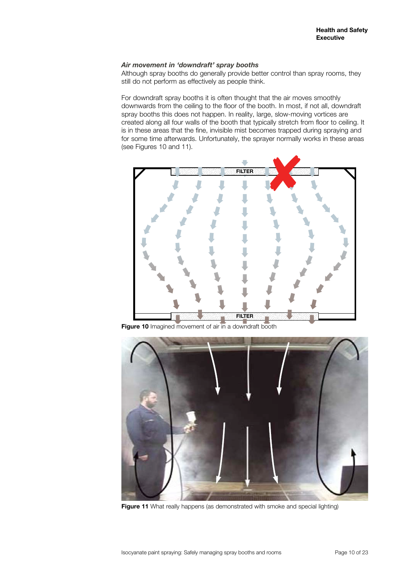## *Air movement in 'downdraft' spray booths*

Although spray booths do generally provide better control than spray rooms, they still do not perform as effectively as people think.

For downdraft spray booths it is often thought that the air moves smoothly downwards from the ceiling to the floor of the booth. In most, if not all, downdraft spray booths this does not happen. In reality, large, slow-moving vortices are created along all four walls of the booth that typically stretch from floor to ceiling. It is in these areas that the fine, invisible mist becomes trapped during spraying and for some time afterwards. Unfortunately, the sprayer normally works in these areas (see Figures 10 and 11).



**Figure 10** Imagined movement of air in a downdraft booth



Figure 11 What really happens (as demonstrated with smoke and special lighting)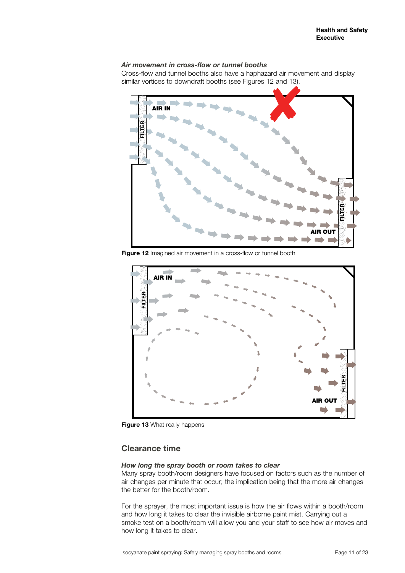## *Air movement in cross-flow or tunnel booths*

Cross-flow and tunnel booths also have a haphazard air movement and display



**Figure 12** Imagined air movement in a cross-flow or tunnel booth



**Figure 13** What really happens

# **Clearance time**

#### *How long the spray booth or room takes to clear*

Many spray booth/room designers have focused on factors such as the number of air changes per minute that occur; the implication being that the more air changes the better for the booth/room.

For the sprayer, the most important issue is how the air flows within a booth/room and how long it takes to clear the invisible airborne paint mist. Carrying out a smoke test on a booth/room will allow you and your staff to see how air moves and how long it takes to clear.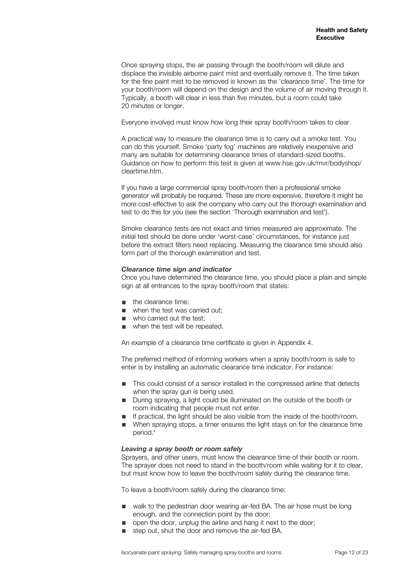Once spraying stops, the air passing through the booth/room will dilute and displace the invisible airborne paint mist and eventually remove it. The time taken for the fine paint mist to be removed is known as the 'clearance time'. The time for your booth/room will depend on the design and the volume of air moving through it. Typically, a booth will clear in less than five minutes, but a room could take 20 minutes or longer.

Everyone involved must know how long their spray booth/room takes to clear.

A practical way to measure the clearance time is to carry out a smoke test. You can do this yourself. Smoke 'party fog' machines are relatively inexpensive and many are suitable for determining clearance times of standard-sized booths. Guidance on how to perform this test is given at www.hse.gov.uk/mvr/bodyshop/ cleartime.htm.

If you have a large commercial spray booth/room then a professional smoke generator will probably be required. These are more expensive, therefore it might be more cost-effective to ask the company who carry out the thorough examination and test to do this for you (see the section 'Thorough examination and test').

Smoke clearance tests are not exact and times measured are approximate. The initial test should be done under 'worst-case' circumstances, for instance just before the extract filters need replacing. Measuring the clearance time should also form part of the thorough examination and test.

## *Clearance time sign and indicator*

Once you have determined the clearance time, you should place a plain and simple sign at all entrances to the spray booth/room that states:

- the clearance time;
- when the test was carried out:
- who carried out the test;
- when the test will be repeated.

An example of a clearance time certificate is given in Appendix 4.

The preferred method of informing workers when a spray booth/room is safe to enter is by installing an automatic clearance time indicator. For instance:

- This could consist of a sensor installed in the compressed airline that detects when the spray gun is being used.
- During spraying, a light could be illuminated on the outside of the booth or room indicating that people must not enter.
- If practical, the light should be also visible from the inside of the booth/room.<br>■ When spraving stops a timer ensures the light stays on for the clearance time
- When spraying stops, a timer ensures the light stays on for the clearance time period.4

## *Leaving a spray booth or room safely*

Sprayers, and other users, must know the clearance time of their booth or room. The sprayer does not need to stand in the booth/room while waiting for it to clear, but must know how to leave the booth/room safely during the clearance time.

To leave a booth/room safely during the clearance time:

- walk to the pedestrian door wearing air-fed BA. The air hose must be long enough, and the connection point by the door;
- open the door, unplug the airline and hang it next to the door;
- step out, shut the door and remove the air-fed BA.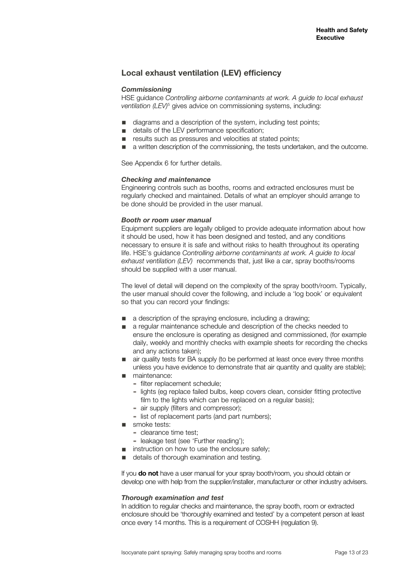# **Local exhaust ventilation (LEV) efficiency**

#### *Commissioning*

HSE guidance *Controlling airborne contaminants at work. A guide to local exhaust*  ventilation (LEV)<sup>5</sup> gives advice on commissioning systems, including:

- diagrams and a description of the system, including test points;<br>■ details of the LEV performance specification;
- details of the LEV performance specification;
- results such as pressures and velocities at stated points;
- a written description of the commissioning, the tests undertaken, and the outcome.

See Appendix 6 for further details.

#### *Checking and maintenance*

Engineering controls such as booths, rooms and extracted enclosures must be regularly checked and maintained. Details of what an employer should arrange to be done should be provided in the user manual.

#### *Booth or room user manual*

Equipment suppliers are legally obliged to provide adequate information about how it should be used, how it has been designed and tested, and any conditions necessary to ensure it is safe and without risks to health throughout its operating life. HSE's guidance *Controlling airborne contaminants at work. A guide to local exhaust ventilation (LEV)* recommends that, just like a car, spray booths/rooms should be supplied with a user manual.

The level of detail will depend on the complexity of the spray booth/room. Typically, the user manual should cover the following, and include a 'log book' or equivalent so that you can record your findings:

- a description of the spraying enclosure, including a drawing;
- a regular maintenance schedule and description of the checks needed to ensure the enclosure is operating as designed and commissioned, (for example daily, weekly and monthly checks with example sheets for recording the checks and any actions taken);
- air quality tests for BA supply (to be performed at least once every three months unless you have evidence to demonstrate that air quantity and quality are stable);
- maintenance:
	- ▬ filter replacement schedule;
	- ▬ lights (eg replace failed bulbs, keep covers clean, consider fitting protective film to the lights which can be replaced on a regular basis);
	- ▬ air supply (filters and compressor);
	- ▬ list of replacement parts (and part numbers);
- smoke tests:
	- ▬ clearance time test;
	- ▬ leakage test (see 'Further reading');
- instruction on how to use the enclosure safely;
- details of thorough examination and testing.

If you **do not** have a user manual for your spray booth/room, you should obtain or develop one with help from the supplier/installer, manufacturer or other industry advisers.

#### *Thorough examination and test*

In addition to regular checks and maintenance, the spray booth, room or extracted enclosure should be 'thoroughly examined and tested' by a competent person at least once every 14 months. This is a requirement of COSHH (regulation 9).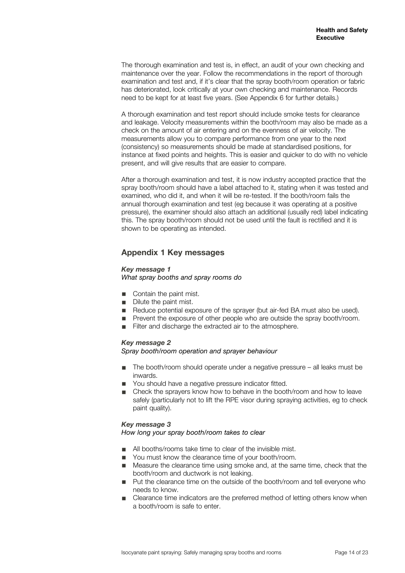The thorough examination and test is, in effect, an audit of your own checking and maintenance over the year. Follow the recommendations in the report of thorough examination and test and, if it's clear that the spray booth/room operation or fabric has deteriorated, look critically at your own checking and maintenance. Records need to be kept for at least five years. (See Appendix 6 for further details.)

A thorough examination and test report should include smoke tests for clearance and leakage. Velocity measurements within the booth/room may also be made as a check on the amount of air entering and on the evenness of air velocity. The measurements allow you to compare performance from one year to the next (consistency) so measurements should be made at standardised positions, for instance at fixed points and heights. This is easier and quicker to do with no vehicle present, and will give results that are easier to compare.

After a thorough examination and test, it is now industry accepted practice that the spray booth/room should have a label attached to it, stating when it was tested and examined, who did it, and when it will be re-tested. If the booth/room fails the annual thorough examination and test (eg because it was operating at a positive pressure), the examiner should also attach an additional (usually red) label indicating this. The spray booth/room should not be used until the fault is rectified and it is shown to be operating as intended.

# **Appendix 1 Key messages**

## *Key message 1*

*What spray booths and spray rooms do*

- Contain the paint mist.
- Dilute the paint mist.
- Reduce potential exposure of the sprayer (but air-fed BA must also be used).
- Prevent the exposure of other people who are outside the spray booth/room.
- Filter and discharge the extracted air to the atmosphere.

## *Key message 2*

## *Spray booth/room operation and sprayer behaviour*

- The booth/room should operate under a negative pressure all leaks must be inwards.
- You should have a negative pressure indicator fitted.
- Check the sprayers know how to behave in the booth/room and how to leave safely (particularly not to lift the RPE visor during spraying activities, eg to check paint quality).

## *Key message 3*

## *How long your spray booth/room takes to clear*

- All booths/rooms take time to clear of the invisible mist.
- You must know the clearance time of your booth/room.
- Measure the clearance time using smoke and, at the same time, check that the booth/room and ductwork is not leaking.
- Put the clearance time on the outside of the booth/room and tell everyone who needs to know.
- Clearance time indicators are the preferred method of letting others know when a booth/room is safe to enter.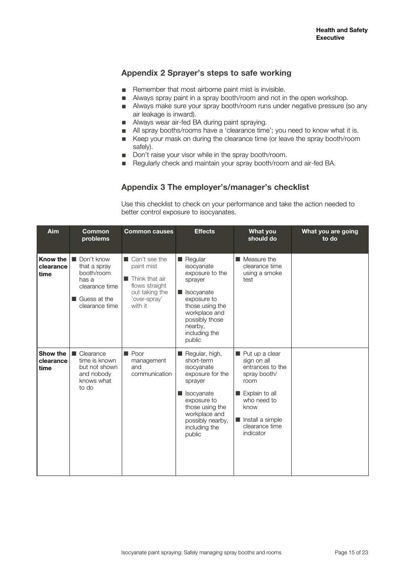# **Appendix 2 Sprayer's steps to safe working**

- Remember that most airborne paint mist is invisible.
- Always spray paint in a spray booth/room and not in the open workshop.
- Always make sure your spray booth/room runs under negative pressure (so any air leakage is inward).
- Always wear air-fed BA during paint spraying.
- All spray booths/rooms have a 'clearance time'; you need to know what it is.
- Keep your mask on during the clearance time (or leave the spray booth/room
- safely). ■ Don't raise your visor while in the spray booth/room.
- Regularly check and maintain your spray booth/room and air-fed BA.

# **Appendix 3 The employer's/manager's checklist**

Use this checklist to check on your performance and take the action needed to better control exposure to isocyanates.

| Aim                           | <b>Common</b><br>problems                                                                                                              | <b>Common causes</b>                                                                                                                       | <b>Effects</b>                                                                                                                                                                            | <b>What you</b><br>should do                                                                                                                                                            | What you are going<br>to do |
|-------------------------------|----------------------------------------------------------------------------------------------------------------------------------------|--------------------------------------------------------------------------------------------------------------------------------------------|-------------------------------------------------------------------------------------------------------------------------------------------------------------------------------------------|-----------------------------------------------------------------------------------------------------------------------------------------------------------------------------------------|-----------------------------|
| Know the<br>clearance<br>time | Don't know<br>$\blacksquare$<br>that a spray<br>booth/room<br>has a<br>clearance time<br>$\blacksquare$ Guess at the<br>clearance time | $\blacksquare$ Can't see the<br>paint mist<br>$\blacksquare$ Think that air<br>flows straight<br>out taking the<br>'over-spray'<br>with it | Regular<br>isocvanate<br>exposure to the<br>sprayer<br>Isocyanate<br>exposure to<br>those using the<br>workplace and<br>possibly those<br>nearby,<br>including the<br>public              | $\blacksquare$ Measure the<br>clearance time<br>using a smoke<br>test                                                                                                                   |                             |
| Show the<br>clearance<br>time | Clearance<br>time is known<br>but not shown<br>and nobody<br>knows what<br>to do                                                       | $\blacksquare$ Poor<br>management<br>and<br>communication                                                                                  | Regular, high,<br>short-term<br>isocvanate<br>exposure for the<br>sprayer<br>Isocyanate<br>exposure to<br>those using the<br>workplace and<br>possibly nearby,<br>including the<br>public | Put up a clear<br>sign on all<br>entrances to the<br>spray booth/<br>room<br>Explain to all<br>who need to<br>know<br>Install a simple<br>$\blacksquare$<br>clearance time<br>indicator |                             |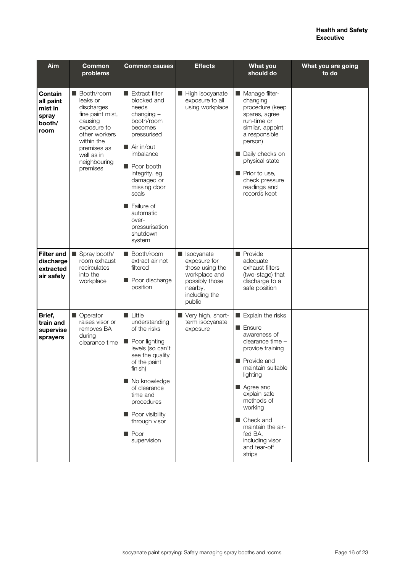| Aim                                                        | <b>Common</b><br>problems                                                                                                                                                    | <b>Common causes</b>                                                                                                                                                                                                                                                                       | <b>Effects</b>                                                                                                        | <b>What you</b><br>should do                                                                                                                                                                                                                                                                                  | What you are going<br>to do |
|------------------------------------------------------------|------------------------------------------------------------------------------------------------------------------------------------------------------------------------------|--------------------------------------------------------------------------------------------------------------------------------------------------------------------------------------------------------------------------------------------------------------------------------------------|-----------------------------------------------------------------------------------------------------------------------|---------------------------------------------------------------------------------------------------------------------------------------------------------------------------------------------------------------------------------------------------------------------------------------------------------------|-----------------------------|
| Contain<br>all paint<br>mist in<br>spray<br>booth/<br>room | ■ Booth/room<br>leaks or<br>discharges<br>fine paint mist,<br>causing<br>exposure to<br>other workers<br>within the<br>premises as<br>well as in<br>neighbouring<br>premises | $\blacksquare$ Extract filter<br>blocked and<br>needs<br>$changing -$<br>booth/room<br>becomes<br>pressurised<br>Air in/out<br>imbalance<br>Poor booth<br>integrity, eg<br>damaged or<br>missing door<br>seals<br>Failure of<br>automatic<br>over-<br>pressurisation<br>shutdown<br>system | High isocyanate<br>exposure to all<br>using workplace                                                                 | Manage filter-<br>changing<br>procedure (keep<br>spares, agree<br>run-time or<br>similar, appoint<br>a responsible<br>person)<br>Daily checks on<br>physical state<br>Prior to use,<br>check pressure<br>readings and<br>records kept                                                                         |                             |
| <b>Filter and</b><br>discharge<br>extracted<br>air safely  | Spray booth/<br>room exhaust<br>recirculates<br>into the<br>workplace                                                                                                        | <b>Booth/room</b><br>extract air not<br>filtered<br>Poor discharge<br>position                                                                                                                                                                                                             | socyanate<br>exposure for<br>those using the<br>workplace and<br>possibly those<br>nearby,<br>including the<br>public | <b>Provide</b><br>adequate<br>exhaust filters<br>(two-stage) that<br>discharge to a<br>safe position                                                                                                                                                                                                          |                             |
| Brief,<br>train and<br>supervise<br>sprayers               | ■ Operator<br>raises visor or<br>removes BA<br>during<br>clearance time                                                                                                      | <b>Little</b><br>understanding<br>of the risks<br>Poor lighting<br>levels (so can't<br>see the quality<br>of the paint<br>finish)<br>No knowledge<br>of clearance<br>time and<br>procedures<br>Poor visibility<br>through visor<br><b>Poor</b><br>supervision                              | Very high, short-<br>term isocyanate<br>exposure                                                                      | Explain the risks<br><b>■ Ensure</b><br>awareness of<br>clearance time -<br>provide training<br>$\blacksquare$ Provide and<br>maintain suitable<br>lighting<br>Agree and<br>explain safe<br>methods of<br>working<br>■ Check and<br>maintain the air-<br>fed BA,<br>including visor<br>and tear-off<br>strips |                             |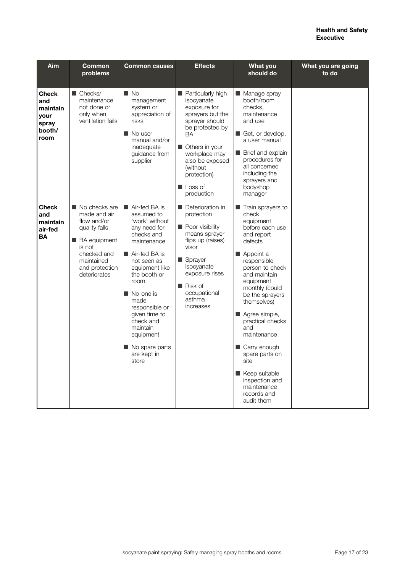| Aim                                                                | <b>Common</b><br>problems                                                                                                                                     | <b>Common causes</b>                                                                                                                                                                                                                                                                                           | <b>Effects</b>                                                                                                                                                                                                                          | <b>What you</b><br>should do                                                                                                                                                                                                                                                                                                                                                                                           | What you are going<br>to do |
|--------------------------------------------------------------------|---------------------------------------------------------------------------------------------------------------------------------------------------------------|----------------------------------------------------------------------------------------------------------------------------------------------------------------------------------------------------------------------------------------------------------------------------------------------------------------|-----------------------------------------------------------------------------------------------------------------------------------------------------------------------------------------------------------------------------------------|------------------------------------------------------------------------------------------------------------------------------------------------------------------------------------------------------------------------------------------------------------------------------------------------------------------------------------------------------------------------------------------------------------------------|-----------------------------|
| <b>Check</b><br>and<br>maintain<br>your<br>spray<br>booth/<br>room | $\blacksquare$ Checks/<br>maintenance<br>not done or<br>only when<br>ventilation fails                                                                        | $\blacksquare$ No<br>management<br>system or<br>appreciation of<br>risks<br>$\blacksquare$ No user<br>manual and/or<br>inadequate<br>guidance from<br>supplier                                                                                                                                                 | <b>Particularly high</b><br>isocyanate<br>exposure for<br>sprayers but the<br>sprayer should<br>be protected by<br><b>BA</b><br>Others in your<br>workplace may<br>also be exposed<br>(without)<br>protection)<br>Loss of<br>production | ■ Manage spray<br>booth/room<br>checks.<br>maintenance<br>and use<br>Get, or develop,<br>a user manual<br>Brief and explain<br>procedures for<br>all concerned<br>including the<br>sprayers and<br>bodyshop<br>manager                                                                                                                                                                                                 |                             |
| <b>Check</b><br>and<br>maintain<br>air-fed<br><b>BA</b>            | No checks are<br>made and air<br>flow and/or<br>quality falls<br><b>BA</b> equipment<br>is not<br>checked and<br>maintained<br>and protection<br>deteriorates | Air-fed BA is<br>assumed to<br>'work' without<br>any need for<br>checks and<br>maintenance<br>Air-fed BA is<br>not seen as<br>equipment like<br>the booth or<br>room<br>■ No-one is<br>made<br>responsible or<br>given time to<br>check and<br>maintain<br>equipment<br>No spare parts<br>are kept in<br>store | Deterioration in<br>protection<br>Poor visibility<br>means sprayer<br>flips up (raises)<br>visor<br>Sprayer<br>isocyanate<br>exposure rises<br>Risk of<br>occupational<br>asthma<br>increases                                           | $\blacksquare$ Train sprayers to<br>check<br>equipment<br>before each use<br>and report<br>defects<br>Appoint a<br>responsible<br>person to check<br>and maintain<br>equipment<br>monthly (could<br>be the sprayers<br>themselves)<br>Agree simple,<br>practical checks<br>and<br>maintenance<br>Carry enough<br>spare parts on<br>site<br>Keep suitable<br>inspection and<br>maintenance<br>records and<br>audit them |                             |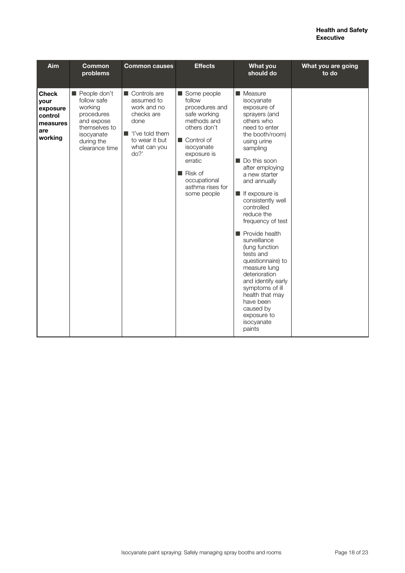| Aim                                                                       | <b>Common</b><br>problems                                                                                                         | <b>Common causes</b>                                                                                                                                      | <b>Effects</b>                                                                                                                                                                                                            | <b>What you</b><br>should do                                                                                                                                                                                                                                                                                                                                                                                                                                                                                                                                      | What you are going<br>to do |
|---------------------------------------------------------------------------|-----------------------------------------------------------------------------------------------------------------------------------|-----------------------------------------------------------------------------------------------------------------------------------------------------------|---------------------------------------------------------------------------------------------------------------------------------------------------------------------------------------------------------------------------|-------------------------------------------------------------------------------------------------------------------------------------------------------------------------------------------------------------------------------------------------------------------------------------------------------------------------------------------------------------------------------------------------------------------------------------------------------------------------------------------------------------------------------------------------------------------|-----------------------------|
| <b>Check</b><br>your<br>exposure<br>control<br>measures<br>are<br>working | People don't<br>follow safe<br>working<br>procedures<br>and expose<br>themselves to<br>isocvanate<br>during the<br>clearance time | $\blacksquare$ Controls are<br>assumed to<br>work and no<br>checks are<br>done<br>$\blacksquare$ 'I've told them<br>to wear it but<br>what can you<br>do? | Some people<br>follow<br>procedures and<br>safe working<br>methods and<br>others don't<br>$\blacksquare$ Control of<br>isocyanate<br>exposure is<br>erratic<br>Risk of<br>occupational<br>asthma rises for<br>some people | $\blacksquare$ Measure<br>isocyanate<br>exposure of<br>sprayers (and<br>others who<br>need to enter<br>the booth/room)<br>using urine<br>sampling<br>Do this soon<br>after employing<br>a new starter<br>and annually<br>If exposure is<br>consistently well<br>controlled<br>reduce the<br>frequency of test<br>Provide health<br>surveillance<br>(lung function<br>tests and<br>questionnaire) to<br>measure lung<br>deterioration<br>and identify early<br>symptoms of ill<br>health that may<br>have been<br>caused by<br>exposure to<br>isocyanate<br>paints |                             |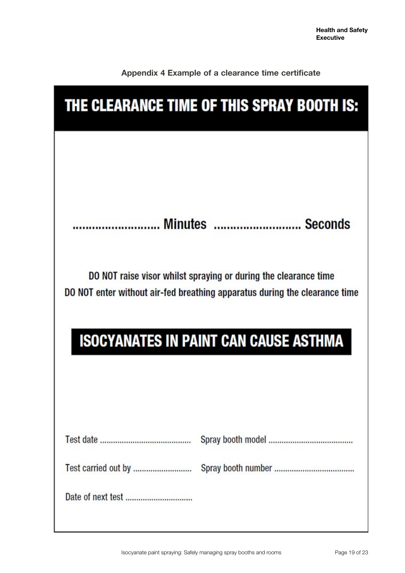| Appendix 4 Example of a clearance time certificate |  |  |  |  |  |
|----------------------------------------------------|--|--|--|--|--|
|----------------------------------------------------|--|--|--|--|--|

| THE CLEARANCE TIME OF THIS SPRAY BOOTH IS: |                                                                                                                                               |  |  |  |
|--------------------------------------------|-----------------------------------------------------------------------------------------------------------------------------------------------|--|--|--|
|                                            |                                                                                                                                               |  |  |  |
|                                            |                                                                                                                                               |  |  |  |
|                                            | Minutes   Seconds                                                                                                                             |  |  |  |
|                                            | DO NOT raise visor whilst spraying or during the clearance time<br>DO NOT enter without air-fed breathing apparatus during the clearance time |  |  |  |
|                                            | <b>ISOCYANATES IN PAINT CAN CAUSE ASTHMA</b>                                                                                                  |  |  |  |
|                                            |                                                                                                                                               |  |  |  |
|                                            |                                                                                                                                               |  |  |  |
|                                            |                                                                                                                                               |  |  |  |
| Test carried out by                        |                                                                                                                                               |  |  |  |
|                                            |                                                                                                                                               |  |  |  |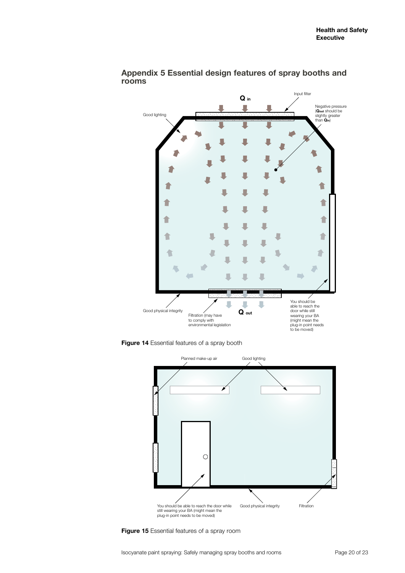

**Appendix 5 Essential design features of spray booths and rooms**

**Figure 14** Essential features of a spray booth



**Figure 15** Essential features of a spray room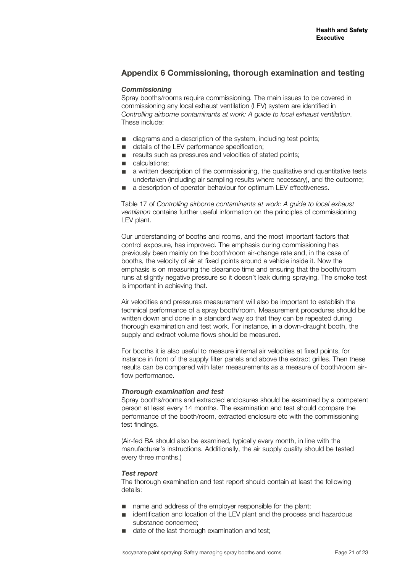# **Appendix 6 Commissioning, thorough examination and testing**

## *Commissioning*

Spray booths/rooms require commissioning. The main issues to be covered in commissioning any local exhaust ventilation (LEV) system are identified in *Controlling airborne contaminants at work: A guide to local exhaust ventilation*. These include:

- diagrams and a description of the system, including test points;<br>■ details of the LEV performance specification;
- details of the LEV performance specification:
- results such as pressures and velocities of stated points;
- calculations:
- a written description of the commissioning, the qualitative and quantitative tests undertaken (including air sampling results where necessary), and the outcome;
- a description of operator behaviour for optimum LEV effectiveness.

Table 17 of *Controlling airborne contaminants at work: A guide to local exhaust ventilation* contains further useful information on the principles of commissioning LEV plant.

Our understanding of booths and rooms, and the most important factors that control exposure, has improved. The emphasis during commissioning has previously been mainly on the booth/room air-change rate and, in the case of booths, the velocity of air at fixed points around a vehicle inside it. Now the emphasis is on measuring the clearance time and ensuring that the booth/room runs at slightly negative pressure so it doesn't leak during spraying. The smoke test is important in achieving that.

Air velocities and pressures measurement will also be important to establish the technical performance of a spray booth/room. Measurement procedures should be written down and done in a standard way so that they can be repeated during thorough examination and test work. For instance, in a down-draught booth, the supply and extract volume flows should be measured.

For booths it is also useful to measure internal air velocities at fixed points, for instance in front of the supply filter panels and above the extract grilles. Then these results can be compared with later measurements as a measure of booth/room airflow performance.

## *Thorough examination and test*

Spray booths/rooms and extracted enclosures should be examined by a competent person at least every 14 months. The examination and test should compare the performance of the booth/room, extracted enclosure etc with the commissioning test findings.

(Air-fed BA should also be examined, typically every month, in line with the manufacturer's instructions. Additionally, the air supply quality should be tested every three months.)

## *Test report*

The thorough examination and test report should contain at least the following details:

- name and address of the employer responsible for the plant;
- identification and location of the LEV plant and the process and hazardous substance concerned;
- date of the last thorough examination and test;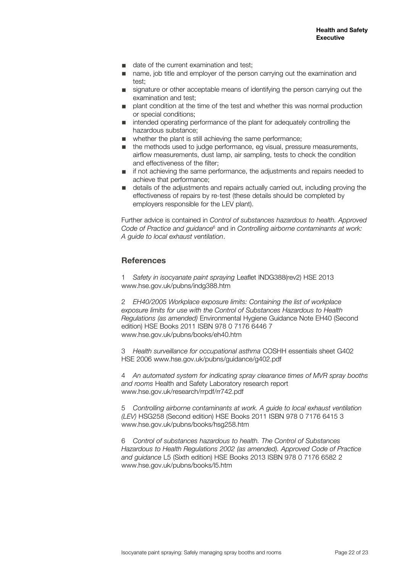- date of the current examination and test:
- name, job title and employer of the person carrying out the examination and test;
- signature or other acceptable means of identifying the person carrying out the examination and test;
- plant condition at the time of the test and whether this was normal production or special conditions;
- intended operating performance of the plant for adequately controlling the hazardous substance;
- whether the plant is still achieving the same performance:
- the methods used to judge performance, eg visual, pressure measurements, airflow measurements, dust lamp, air sampling, tests to check the condition and effectiveness of the filter;
- if not achieving the same performance, the adjustments and repairs needed to achieve that performance;
- details of the adjustments and repairs actually carried out, including proving the effectiveness of repairs by re-test (these details should be completed by employers responsible for the LEV plant).

Further advice is contained in *Control of substances hazardous to health. Approved*  Code of Practice and guidance<sup>6</sup> and in Controlling airborne contaminants at work: *A guide to local exhaust ventilation*.

# **References**

1 *Safety in isocyanate paint spraying* Leaflet INDG388(rev2) HSE 2013 www.hse.gov.uk/pubns/indg388.htm

2 *EH40/2005 Workplace exposure limits: Containing the list of workplace exposure limits for use with the Control of Substances Hazardous to Health Regulations (as amended)* Environmental Hygiene Guidance Note EH40 (Second edition) HSE Books 2011 ISBN 978 0 7176 6446 7 www.hse.gov.uk/pubns/books/eh40.htm

3 *Health surveillance for occupational asthma* COSHH essentials sheet G402 HSE 2006 www.hse.gov.uk/pubns/guidance/g402.pdf

4 *An automated system for indicating spray clearance times of MVR spray booths and rooms* Health and Safety Laboratory research report www.hse.gov.uk/research/rrpdf/rr742.pdf

5 *Controlling airborne contaminants at work. A guide to local exhaust ventilation (LEV)* HSG258 (Second edition) HSE Books 2011 ISBN 978 0 7176 6415 3 www.hse.gov.uk/pubns/books/hsg258.htm

6 *Control of substances hazardous to health. The Control of Substances Hazardous to Health Regulations 2002 (as amended). Approved Code of Practice and guidance* L5 (Sixth edition) HSE Books 2013 ISBN 978 0 7176 6582 2 www.hse.gov.uk/pubns/books/l5.htm